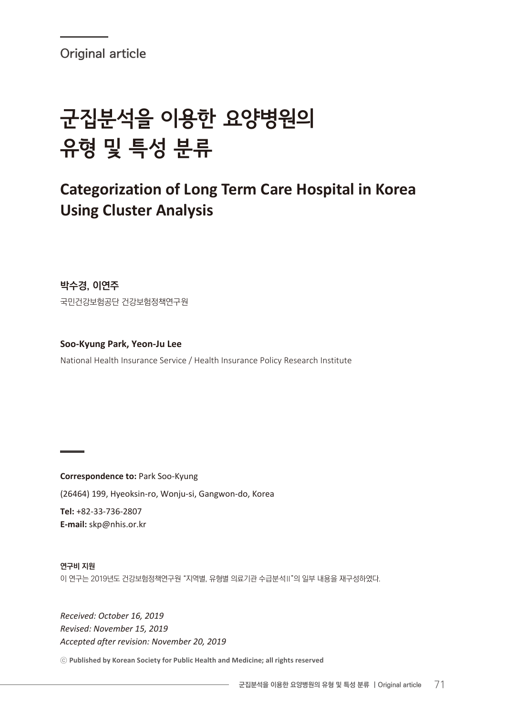# 군집분석을 이용한 요양병원의 유형 및 특성 분류

# **Categorization of Long Term Care Hospital in Korea Using Cluster Analysis**

**박수경, 이연주** 국민건강보험공단 건강보험정책연구원

**Soo-Kyung Park, Yeon-Ju Lee** National Health Insurance Service / Health Insurance Policy Research Institute

**Correspondence to:** Park Soo-Kyung (26464) 199, Hyeoksin-ro, Wonju-si, Gangwon-do, Korea **Tel:** +82-33-736-2807 **E-mail:** skp@nhis.or.kr

**연구비 지원** 이 연구는 2019년도 건강보험정책연구원 "지역별, 유형별 의료기관 수급분석Ⅱ"의 일부 내용을 재구성하였다.

*Received: October 16, 2019 Revised: November 15, 2019 Accepted after revision: November 20, 2019*

ⓒ **Published by Korean Society for Public Health and Medicine; all rights reserved**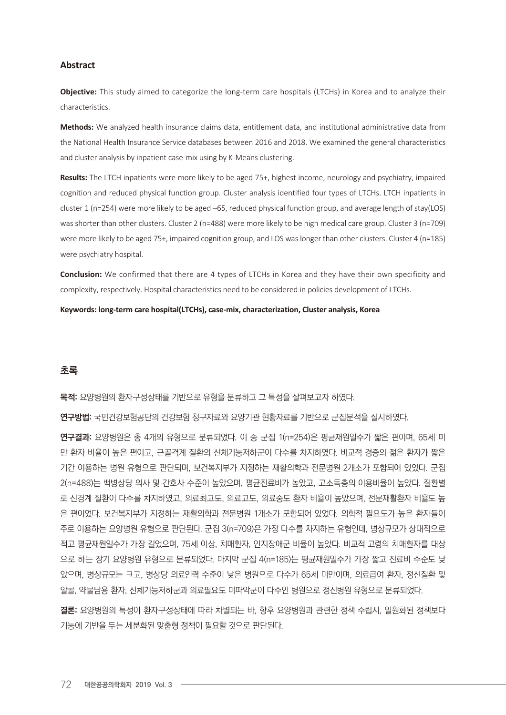#### **Abstract**

**Objective:** This study aimed to categorize the long-term care hospitals (LTCHs) in Korea and to analyze their characteristics.

**Methods:** We analyzed health insurance claims data, entitlement data, and institutional administrative data from the National Health Insurance Service databases between 2016 and 2018. We examined the general characteristics and cluster analysis by inpatient case-mix using by K-Means clustering.

**Results:** The LTCH inpatients were more likely to be aged 75+, highest income, neurology and psychiatry, impaired cognition and reduced physical function group. Cluster analysis identified four types of LTCHs. LTCH inpatients in cluster 1 (n=254) were more likely to be aged –65, reduced physical function group, and average length of stay(LOS) was shorter than other clusters. Cluster 2 (n=488) were more likely to be high medical care group. Cluster 3 (n=709) were more likely to be aged 75+, impaired cognition group, and LOS was longer than other clusters. Cluster 4 (n=185) were psychiatry hospital.

**Conclusion:** We confirmed that there are 4 types of LTCHs in Korea and they have their own specificity and complexity, respectively. Hospital characteristics need to be considered in policies development of LTCHs.

**Keywords: long-term care hospital(LTCHs), case-mix, characterization, Cluster analysis, Korea** 

#### **초록**

**목적:** 요양병원의 환자구성상태를 기반으로 유형을 분류하고 그 특성을 살펴보고자 하였다.

**연구방법:** 국민건강보험공단의 건강보험 청구자료와 요양기관 현황자료를 기반으로 군집분석을 실시하였다.

**연구결과:** 요양병원은 총 4개의 유형으로 분류되었다. 이 중 군집 1(n=254)은 평균재원일수가 짧은 편이며, 65세 미 만 환자 비율이 높은 편이고, 근골격계 질환의 신체기능저하군이 다수를 차지하였다. 비교적 경증의 젊은 환자가 짧은 기간 이용하는 병원 유형으로 판단되며, 보건복지부가 지정하는 재활의학과 전문병원 2개소가 포함되어 있었다. 군집 2(n=488)는 백병상당 의사 및 간호사 수준이 높았으며, 평균진료비가 높았고, 고소득층의 이용비율이 높았다. 질환별 로 신경계 질환이 다수를 차지하였고, 의료최고도, 의료고도, 의료중도 환자 비율이 높았으며, 전문재활환자 비율도 높 은 편이었다. 보건복지부가 지정하는 재활의학과 전문병원 1개소가 포함되어 있었다. 의학적 필요도가 높은 환자들이 주로 이용하는 요양병원 유형으로 판단된다. 군집 3(n=709)은 가장 다수를 차지하는 유형인데, 병상규모가 상대적으로 적고 평균재원일수가 가장 길었으며, 75세 이상, 치매환자, 인지장애군 비율이 높았다. 비교적 고령의 치매환자를 대상 으로 하는 장기 요양병원 유형으로 분류되었다. 마지막 군집 4(n=185)는 평균재원일수가 가장 짧고 진료비 수준도 낮 았으며, 병상규모는 크고, 병상당 의료인력 수준이 낮은 병원으로 다수가 65세 미만이며, 의료급여 환자, 정신질환 및 알콜, 약물남용 환자, 신체기능저하군과 의료필요도 미파악군이 다수인 병원으로 정신병원 유형으로 분류되었다.

**결론:** 요양병원의 특성이 환자구성상태에 따라 차별되는 바, 향후 요양병원과 관련한 정책 수립시, 일원화된 정책보다 기능에 기반을 두는 세분화된 맞춤형 정책이 필요할 것으로 판단된다.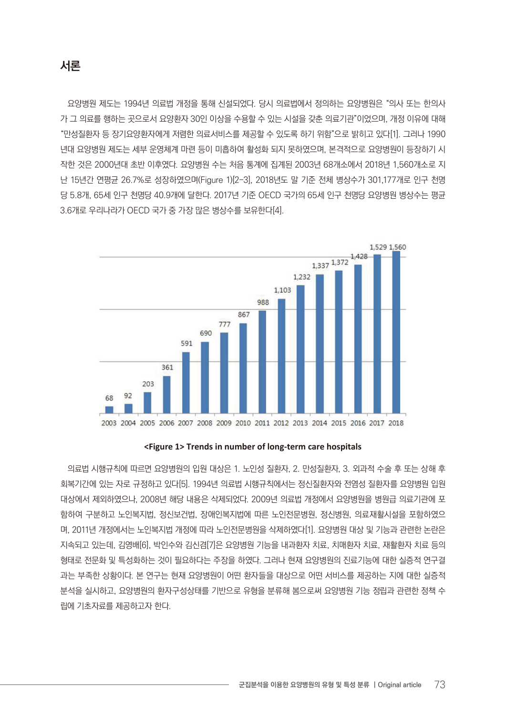요양병원 제도는 1994년 의료법 개정을 통해 신설되었다. 당시 의료법에서 정의하는 요양병원은 "의사 또는 한의사 가 그 의료를 행하는 곳으로서 요양환자 30인 이상을 수용할 수 있는 시설을 갖춘 의료기관"이었으며, 개정 이유에 대해 "만성질환자 등 장기요양환자에게 저렴한 의료서비스를 제공할 수 있도록 하기 위함"으로 밝히고 있다[1]. 그러나 1990 년대 요양병원 제도는 세부 운영체계 마련 등이 미흡하여 활성화 되지 못하였으며, 본격적으로 요양병원이 등장하기 시 작한 것은 2000년대 초반 이후였다. 요양병원 수는 처음 통계에 집계된 2003년 68개소에서 2018년 1,560개소로 지 난 15년간 연평균 26.7%로 성장하였으며(Figure 1)[2-3], 2018년도 말 기준 전체 병상수가 301,177개로 인구 천명 당 5.8개, 65세 인구 천명당 40.9개에 달한다. 2017년 기준 OECD 국가의 65세 인구 천명당 요양병원 병상수는 평균 3.6개로 우리나라가 OECD 국가 중 가장 많은 병상수를 보유한다[4].



**<Figure 1> Trends in number of long-term care hospitals**

의료법 시행규칙에 따르면 요양병원의 입원 대상은 1. 노인성 질환자, 2. 만성질환자, 3. 외과적 수술 후 또는 상해 후 회복기간에 있는 자로 규정하고 있다[5]. 1994년 의료법 시행규칙에서는 정신질환자와 전염성 질환자를 요양병원 입원 대상에서 제외하였으나, 2008년 해당 내용은 삭제되었다. 2009년 의료법 개정에서 요양병원을 병원급 의료기관에 포 함하여 구분하고 노인복지법, 정신보건법, 장애인복지법에 따른 노인전문병원, 정신병원, 의료재활시설을 포함하였으 며, 2011년 개정에서는 노인복지법 개정에 따라 노인전문병원을 삭제하였다[1]. 요양병원 대상 및 기능과 관련한 논란은 지속되고 있는데, 김영배[6], 박인수와 김신겸[7]은 요양병원 기능을 내과환자 치료, 치매환자 치료, 재활환자 치료 등의 형태로 전문화 및 특성화하는 것이 필요하다는 주장을 하였다. 그러나 현재 요양병원의 진료기능에 대한 실증적 연구결 과는 부족한 상황이다. 본 연구는 현재 요양병원이 어떤 환자들을 대상으로 어떤 서비스를 제공하는 지에 대한 실증적 분석을 실시하고, 요양병원의 환자구성상태를 기반으로 유형을 분류해 봄으로써 요양병원 기능 정립과 관련한 정책 수 립에 기초자료를 제공하고자 한다.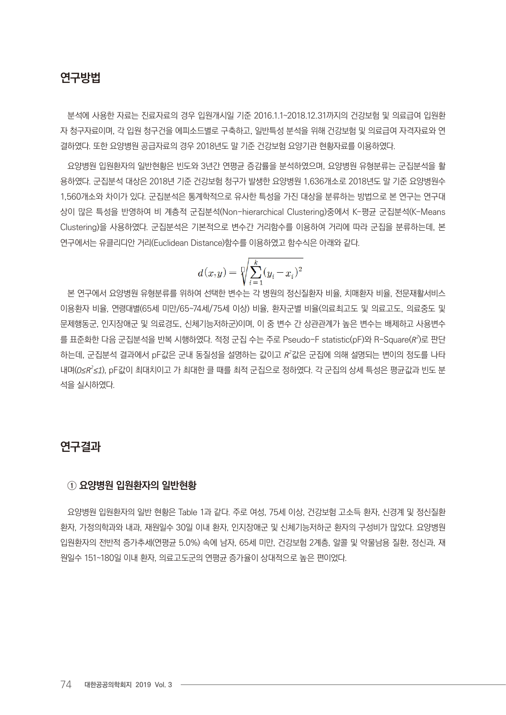# **연구방법**

분석에 사용한 자료는 진료자료의 경우 입원개시일 기준 2016.1.1~2018.12.31까지의 건강보험 및 의료급여 입원환 자 청구자료이며, 각 입원 청구건을 에피소드별로 구축하고, 일반특성 분석을 위해 건강보험 및 의료급여 자격자료와 연 결하였다. 또한 요양병원 공급자료의 경우 2018년도 말 기준 건강보험 요양기관 현황자료를 이용하였다.

요양병원 입원환자의 일반현황은 빈도와 3년간 연평균 증감률을 분석하였으며, 요양병원 유형분류는 군집분석을 활 용하였다. 군집분석 대상은 2018년 기준 건강보험 청구가 발생한 요양병원 1,636개소로 2018년도 말 기준 요양병원수 1,560개소와 차이가 있다. 군집분석은 통계학적으로 유사한 특성을 가진 대상을 분류하는 방법으로 본 연구는 연구대 상이 많은 특성을 반영하여 비 계층적 군집분석(Non-hierarchical Clustering)중에서 K-평균 군집분석(K-Means Clustering)을 사용하였다. 군집분석은 기본적으로 변수간 거리함수를 이용하여 거리에 따라 군집을 분류하는데, 본 연구에서는 유클리디안 거리(Euclidean Distance)함수를 이용하였고 함수식은 아래와 같다.

$$
d(x,y)=\sqrt[p]{\sum_{i=1}^k(y_i-x_i)^2}
$$

본 연구에서 요양병원 유형분류를 위하여 선택한 변수는 각 병원의 정신질환자 비율, 치매환자 비율, 전문재활서비스 이용환자 비율, 연령대별(65세 미만/65~74세/75세 이상) 비율, 환자군별 비율(의료최고도 및 의료고도, 의료중도 및 문제행동군, 인지장애군 및 의료경도, 신체기능저하군)이며, 이 중 변수 간 상관관계가 높은 변수는 배제하고 사용변수 를 표준화한 다음 군집분석을 반복 시행하였다. 적정 군집 수는 주로 Pseudo-F statistic(pF)와 R-Square( $R^2$ )로 판단 하는데, 군집분석 결과에서 pF값은 군내 동질성을 설명하는 값이고 R<sup>2</sup>값은 군집에 의해 설명되는 변이의 정도를 나타 내며(*0≤R<sup>2</sup> ≤1*), pF값이 최대치이고 가 최대한 클 때를 최적 군집으로 정하였다. 각 군집의 상세 특성은 평균값과 빈도 분 석을 실시하였다.

# **연구결과**

#### **① 요양병원 입원환자의 일반현황**

요양병원 입원환자의 일반 현황은 Table 1과 같다. 주로 여성, 75세 이상, 건강보험 고소득 환자, 신경계 및 정신질환 환자, 가정의학과와 내과, 재원일수 30일 이내 환자, 인지장애군 및 신체기능저하군 환자의 구성비가 많았다. 요양병원 입원환자의 전반적 증가추세(연평균 5.0%) 속에 남자, 65세 미만, 건강보험 2계층, 알콜 및 약물남용 질환, 정신과, 재 원일수 151~180일 이내 환자, 의료고도군의 연평균 증가율이 상대적으로 높은 편이었다.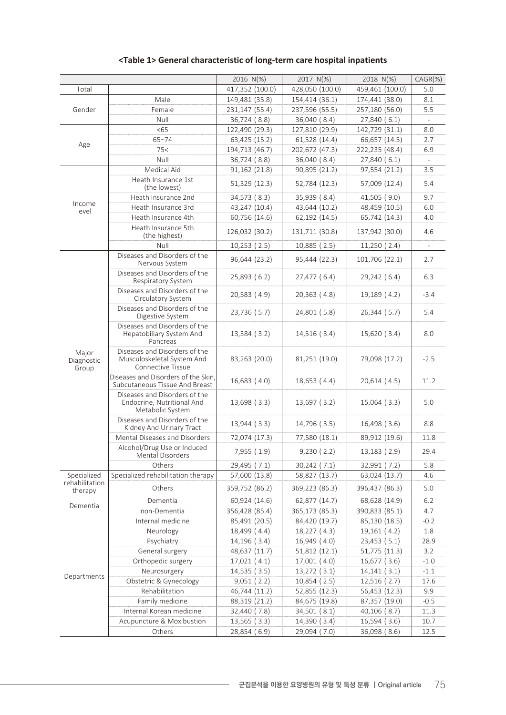|                              |                                                                                         | 2016 N(%)                    | 2017 N(%)                    | 2018 N(%)                    | $CAGR(\%)$   |
|------------------------------|-----------------------------------------------------------------------------------------|------------------------------|------------------------------|------------------------------|--------------|
| Total                        |                                                                                         | 417,352 (100.0)              | 428,050 (100.0)              | 459,461 (100.0)              | 5.0          |
| Gender                       | Male                                                                                    | 149,481 (35.8)               | 154,414 (36.1)               | 174,441 (38.0)               | 8.1          |
|                              | Female                                                                                  | 231,147 (55.4)               | 237,596 (55.5)               | 257,180 (56.0)               | 5.5          |
|                              | Null                                                                                    | 36,724 (8.8)                 | 36,040 (8.4)                 | 27,840 (6.1)                 |              |
|                              | < 65                                                                                    | 122,490 (29.3)               | 127,810 (29.9)               | 142,729 (31.1)               | 8.0          |
|                              | $65 - 74$                                                                               | 63,425 (15.2)                | 61,528 (14.4)                | 66,657 (14.5)                | 2.7          |
| Age                          | 75<                                                                                     | 194,713 (46.7)               | 202,672 (47.3)               | 222,235 (48.4)               | 6.9          |
|                              | Null                                                                                    | 36,724 (8.8)                 | 36,040 (8.4)                 | 27,840 (6.1)                 |              |
|                              | Medical Aid                                                                             | 91,162 (21.8)                | 90,895 (21.2)                | 97,554 (21.2)                | 3.5          |
|                              | Heath Insurance 1st<br>(the lowest)                                                     | 51,329 (12.3)                | 52,784 (12.3)                | 57,009 (12.4)                | 5.4          |
|                              | Heath Insurance 2nd                                                                     | 34,573 (8.3)                 | 35,939 (8.4)                 | 41,505 (9.0)                 | 9.7          |
| Income<br>level              | Heath Insurance 3rd                                                                     | 43,247 (10.4)                | 43,644 (10.2)                | 48,459 (10.5)                | 6.0          |
|                              | Heath Insurance 4th                                                                     | 60,756 (14.6)                | 62,192 (14.5)                | 65,742 (14.3)                | 4.0          |
|                              | Heath Insurance 5th<br>(the highest)                                                    | 126,032 (30.2)               | 131,711 (30.8)               | 137,942 (30.0)               | 4.6          |
|                              | Null                                                                                    | 10,253(2.5)                  | 10,885 (2.5)                 | 11,250(2.4)                  |              |
|                              | Diseases and Disorders of the<br>Nervous System                                         | 96,644 (23.2)                | 95,444 (22.3)                | 101,706 (22.1)               | 2.7          |
|                              | Diseases and Disorders of the<br>Respiratory System                                     | 25,893 (6.2)                 | 27,477 (6.4)                 | 29,242 (6.4)                 | 6.3          |
|                              | Diseases and Disorders of the<br>Circulatory System                                     | 20,583 (4.9)                 | 20,363 (4.8)                 | 19,189 (4.2)                 | $-3.4$       |
|                              | Diseases and Disorders of the<br>Digestive System                                       | 23,736 (5.7)                 | 24,801 (5.8)                 | 26,344 (5.7)                 | 5.4          |
|                              | Diseases and Disorders of the<br>Hepatobiliary System And<br>Pancreas                   | 13,384 (3.2)                 | 14,516 (3.4)                 | 15,620 (3.4)                 | 8.0          |
| Major<br>Diagnostic<br>Group | Diseases and Disorders of the<br>Musculoskeletal System And<br><b>Connective Tissue</b> | 83,263 (20.0)                | 81,251 (19.0)                | 79,098 (17.2)                | $-2.5$       |
|                              | Diseases and Disorders of the Skin,<br>Subcutaneous Tissue And Breast                   | 16,683 (4.0)                 | 18,653 (4.4)                 | 20,614(4.5)                  | 11.2         |
|                              | Diseases and Disorders of the<br>Endocrine, Nutritional And<br>Metabolic System         | 13,698 (3.3)                 | 13,697 (3.2)                 | $15,064$ (3.3)               | 5.0          |
|                              | Diseases and Disorders of the<br>Kidney And Urinary Tract                               | 13,944 (3.3)                 | 14,796 (3.5)                 | 16,498 (3.6)                 | 8.8          |
|                              | Mental Diseases and Disorders                                                           | 72,074 (17.3)                | 77,580 (18.1)                | 89,912 (19.6)                | 11.8         |
|                              | Alcohol/Drug Use or Induced<br>Mental Disorders                                         | 7,955 (1.9)                  | 9,230(2.2)                   | 13,183 (2.9)                 | 29.4         |
|                              | Others                                                                                  | 29,495 (7.1)                 | 30,242 (7.1)                 | 32,991 (7.2)                 | 5.8          |
| Specialized                  | Specialized rehabilitation therapy                                                      | 57,600 (13.8)                | 58,827 (13.7)                | 63,024 (13.7)                | 4.6          |
| rehabilitation<br>therapy    | Others                                                                                  | 359,752 (86.2)               | 369,223 (86.3)               | 396,437 (86.3)               | 5.0          |
| Dementia                     | Dementia                                                                                | 60,924 (14.6)                | 62,877 (14.7)                | 68,628 (14.9)                | 6.2          |
|                              | non-Dementia                                                                            | 356,428 (85.4)               | 365,173 (85.3)               | 390,833 (85.1)               | 4.7          |
| Departments                  | Internal medicine                                                                       | 85,491 (20.5)                | 84,420 (19.7)                | 85,130 (18.5)                | $-0.2$       |
|                              | Neurology                                                                               | 18,499 (4.4)                 | 18,227 (4.3)                 | 19,161 (4.2)                 | 1.8          |
|                              | Psychiatry                                                                              | 14,196 (3.4)                 | 16,949 (4.0)                 | 23,453 (5.1)                 | 28.9         |
|                              | General surgery                                                                         | 48,637 (11.7)                | 51,812 (12.1)                | 51,775 (11.3)                | 3.2          |
|                              | Orthopedic surgery                                                                      | 17,021 (4.1)                 | 17,001 (4.0)                 | 16,677 (3.6)                 | $-1.0$       |
|                              | Neurosurgery                                                                            | 14,535 (3.5)                 | 13,272 (3.1)                 | 14,141(3.1)                  | $-1.1$       |
|                              | Obstetric & Gynecology                                                                  | 9,051(2.2)                   | 10,854 (2.5)                 | 12,516 (2.7)                 | 17.6         |
|                              | Rehabilitation                                                                          | 46,744 (11.2)                | 52,855 (12.3)                | 56,453 (12.3)                | 9.9          |
|                              | Family medicine                                                                         | 88,319 (21.2)                | 84,675 (19.8)                | 87,357 (19.0)                | $-0.5$       |
|                              | Internal Korean medicine                                                                | 32,440 (7.8)                 | 34,501 (8.1)                 | 40,106 (8.7)                 | 11.3<br>10.7 |
|                              | Acupuncture & Moxibustion<br>Others                                                     | 13,565 (3.3)<br>28,854 (6.9) | 14,390 (3.4)<br>29,094 (7.0) | 16,594 (3.6)<br>36,098 (8.6) | 12.5         |
|                              |                                                                                         |                              |                              |                              |              |

### **<Table 1> General characteristic of long-term care hospital inpatients**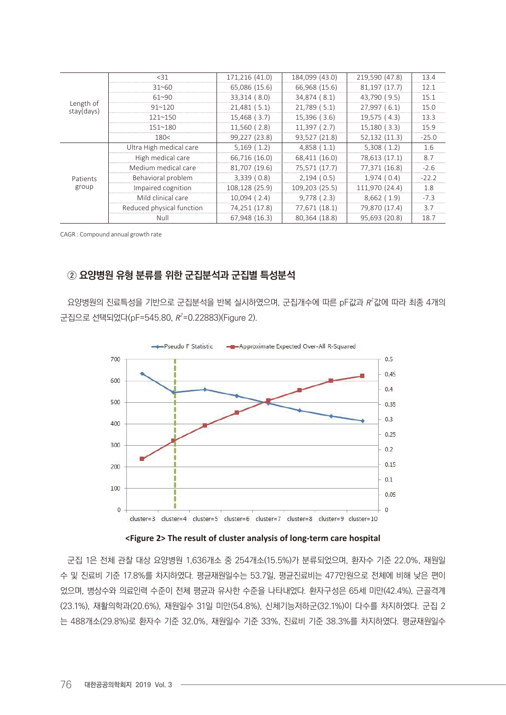| Length of<br>stay(days) | $31$                      | 171,216 (41.0) | 184,099 (43.0) | 219,590 (47.8) | 13.4    |
|-------------------------|---------------------------|----------------|----------------|----------------|---------|
|                         | $31 - 60$                 | 65,086 (15.6)  | 66,968 (15.6)  | 81,197 (17.7)  | 12.1    |
|                         | $61^{\sim}90$             | 33,314 (8.0)   | 34,874 (8.1)   | 43,790 (9.5)   | 15.1    |
|                         | 91~120                    | 21,481(5.1)    | 21,789 (5.1)   | 27,997(6.1)    | 15.0    |
|                         | $121 - 150$               | 15,468 (3.7)   | $15,396$ (3.6) | 19,575 (4.3)   | 13.3    |
|                         | 151~180                   | 11,560 (2.8)   | 11,397(2.7)    | 15,180(3.3)    | 15.9    |
|                         | 180<                      | 99,227 (23.8)  | 93,527 (21.8)  | 52,132 (11.3)  | $-25.0$ |
|                         | Ultra High medical care   | 5,169(1.2)     | 4,858(1.1)     | 5,308(1.2)     | 1.6     |
|                         | High medical care         | 66,716 (16.0)  | 68,411 (16.0)  | 78,613 (17.1)  | 8.7     |
|                         | Medium medical care       | 81,707 (19.6)  | 75,571 (17.7)  | 77,371 (16.8)  | $-2.6$  |
| Patients<br>group       | Behavioral problem        | 3,339(0.8)     | 2,194(0.5)     | 1,974(0.4)     | $-22.2$ |
|                         | Impaired cognition        | 108,128 (25.9) | 109,203 (25.5) | 111,970 (24.4) | 1.8     |
|                         | Mild clinical care        | $10,094$ (2.4) | $9,778$ (2.3)  | 8,662(1.9)     | $-7.3$  |
|                         | Reduced physical function | 74,251 (17.8)  | 77,671 (18.1)  | 79,870 (17.4)  | 3.7     |
|                         | Null                      | 67,948 (16.3)  | 80,364 (18.8)  | 95,693 (20.8)  | 18.7    |

CAGR : Compound annual growth rate

# **② 요양병원 유형 분류를 위한 군집분석과 군집별 특성분석**

요양병원의 진료특성을 기반으로 군집분석을 반복 실시하였으며, 군집개수에 따른 pF값과 R<sup>2</sup>값에 따라 최종 4개의 군집으로 선택되었다(pF=545.80, *R2* =0.22883)(Figure 2).



**<Figure 2> The result of cluster analysis of long-term care hospital**

군집 1은 전체 관찰 대상 요양병원 1,636개소 중 254개소(15.5%)가 분류되었으며, 환자수 기준 22.0%, 재원일 수 및 진료비 기준 17.8%를 차지하였다. 평균재원일수는 53.7일, 평균진료비는 477만원으로 전체에 비해 낮은 편이 었으며, 병상수와 의료인력 수준이 전체 평균과 유사한 수준을 나타내었다. 환자구성은 65세 미만(42.4%), 근골격계 (23.1%), 재활의학과(20.6%), 재원일수 31일 미만(54.8%), 신체기능저하군(32.1%)이 다수를 차지하였다. 군집 2 는 488개소(29.8%)로 환자수 기준 32.0%, 재원일수 기준 33%, 진료비 기준 38.3%를 차지하였다. 평균재원일수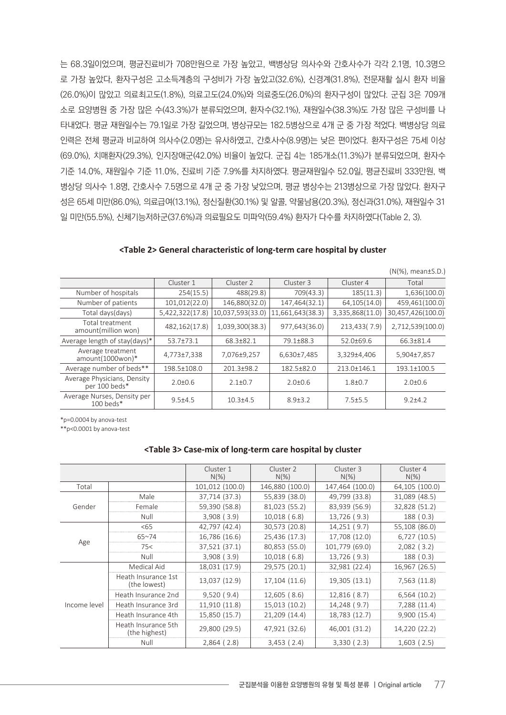는 68.3일이었으며, 평균진료비가 708만원으로 가장 높았고, 백병상당 의사수와 간호사수가 각각 2.1명, 10.3명으 로 가장 높았다, 환자구성은 고소득계층의 구성비가 가장 높았고(32.6%), 신경계(31.8%), 전문재활 실시 환자 비율 (26.0%)이 많았고 의료최고도(1.8%), 의료고도(24.0%)와 의료중도(26.0%)의 환자구성이 많았다. 군집 3은 709개 소로 요양병원 중 가장 많은 수(43.3%)가 분류되었으며, 환자수(32.1%), 재원일수(38.3%)도 가장 많은 구성비를 나 타내었다. 평균 재원일수는 79.1일로 가장 길었으며, 병상규모는 182.5병상으로 4개 군 중 가장 적었다. 백병상당 의료 인력은 전체 평균과 비교하여 의사수(2.0명)는 유사하였고, 간호사수(8.9명)는 낮은 편이었다. 환자구성은 75세 이상 (69.0%), 치매환자(29.3%), 인지장애군(42.0%) 비율이 높았다. 군집 4는 185개소(11.3%)가 분류되었으며, 환자수 기준 14.0%, 재원일수 기준 11.0%, 진료비 기준 7.9%를 차지하였다. 평균재원일수 52.0일, 평균진료비 333만원, 백 병상당 의사수 1.8명, 간호사수 7.5명으로 4개 군 중 가장 낮았으며, 평균 병상수는 213병상으로 가장 많았다. 환자구 성은 65세 미만(86.0%), 의료급여(13.1%), 정신질환(30.1%) 및 알콜, 약물남용(20.3%), 정신과(31.0%), 재원일수 31 일 미만(55.5%), 신체기능저하군(37.6%)과 의료필요도 미파악(59.4%) 환자가 다수를 차지하였다(Table 2, 3).

|                                              |                 |                  |                  |                 | $(N(\%)$ , mean $\pm$ S.D.) |
|----------------------------------------------|-----------------|------------------|------------------|-----------------|-----------------------------|
|                                              | Cluster 1       | Cluster 2        | Cluster 3        | Cluster 4       | Total                       |
| Number of hospitals                          | 254(15.5)       | 488(29.8)        | 709(43.3)        | 185(11.3)       | 1,636(100.0)                |
| Number of patients                           | 101,012(22.0)   | 146,880(32.0)    | 147,464(32.1)    | 64,105(14.0)    | 459,461(100.0)              |
| Total days(days)                             | 5,422,322(17.8) | 10,037,593(33.0) | 11,661,643(38.3) | 3,335,868(11.0) | 30,457,426(100.0)           |
| Total treatment<br>amount(million won)       | 482,162(17.8)   | 1,039,300(38.3)  | 977,643(36.0)    | 213,433(7.9)    | 2,712,539(100.0)            |
| Average length of stay(days)*                | 53.7±73.1       | 68.3±82.1        | 79.1±88.3        | 52.0±69.6       | 66.3±81.4                   |
| Average treatment<br>amount(1000won)*        | 4,773±7,338     | 7,076±9,257      | 6,630±7,485      | 3,329±4,406     | 5,904±7,857                 |
| Average number of beds**                     | 198.5±108.0     | 201.3±98.2       | 182.5±82.0       | 213.0±146.1     | 193.1±100.5                 |
| Average Physicians, Density<br>per 100 beds* | $2.0 \pm 0.6$   | $2.1 + 0.7$      | $2.0 \pm 0.6$    | $1.8 + 0.7$     | $2.0 + 0.6$                 |
| Average Nurses, Density per<br>$100$ beds*   | $9.5 + 4.5$     | $10.3 + 4.5$     | $8.9 \pm 3.2$    | $7.5 + 5.5$     | $9.2 + 4.2$                 |

| <table 2=""> General characteristic of long-term care hospital by cluster</table> |  |  |
|-----------------------------------------------------------------------------------|--|--|
|-----------------------------------------------------------------------------------|--|--|

\*p=0.0004 by anova-test

\*\*p<0.0001 by anova-test

#### **<Table 3> Case-mix of long-term care hospital by cluster**

|              |                                      | Cluster 1<br>$N(\%)$ | Cluster 2<br>$N(\%)$ | Cluster 3<br>$N(\%)$ | Cluster 4<br>$N(\%)$ |
|--------------|--------------------------------------|----------------------|----------------------|----------------------|----------------------|
| Total        |                                      | 101,012 (100.0)      | 146,880 (100.0)      | 147,464 (100.0)      | 64,105 (100.0)       |
|              | Male                                 | 37,714 (37.3)        | 55,839 (38.0)        | 49,799 (33.8)        | 31,089 (48.5)        |
| Gender       | Female                               | 59,390 (58.8)        | 81,023 (55.2)        | 83,939 (56.9)        | 32,828 (51.2)        |
|              | Null                                 | $3,908$ ( $3.9$ )    | $10,018$ (6.8)       | 13,726 (9.3)         | 188(0.3)             |
|              | 55                                   | 42,797 (42.4)        | 30,573 (20.8)        | 14,251 (9.7)         | 55,108 (86.0)        |
|              | $65 - 74$                            | 16,786 (16.6)        | 25,436 (17.3)        | 17,708 (12.0)        | 6,727(10.5)          |
| Age          | 75<                                  | 37,521 (37.1)        | 80,853 (55.0)        | 101,779 (69.0)       | $2,082$ (3.2)        |
|              | Null                                 | $3,908$ ( $3.9$ )    | $10,018$ (6.8)       | 13,726 (9.3)         | 188 (0.3)            |
|              | Medical Aid                          | 18,031 (17.9)        | 29,575 (20.1)        | 32,981 (22.4)        | 16,967 (26.5)        |
|              | Heath Insurance 1st<br>(the lowest)  | 13,037 (12.9)        | 17,104 (11.6)        | 19,305 (13.1)        | 7,563 (11.8)         |
|              | Heath Insurance 2nd                  | 9,520(9.4)           | $12,605$ (8.6)       | $12,816$ (8.7)       | 6,564(10.2)          |
| Income level | Heath Insurance 3rd                  | 11,910 (11.8)        | 15,013 (10.2)        | 14,248 (9.7)         | 7,288 (11.4)         |
|              | Heath Insurance 4th                  | 15,850 (15.7)        | 21,209 (14.4)        | 18,783 (12.7)        | 9,900 (15.4)         |
|              | Heath Insurance 5th<br>(the highest) | 29,800 (29.5)        | 47,921 (32.6)        | 46,001 (31.2)        | 14,220 (22.2)        |
|              | Null                                 | $2,864$ (2.8)        | $3,453$ (2.4)        | 3,330(2.3)           | $1,603$ (2.5)        |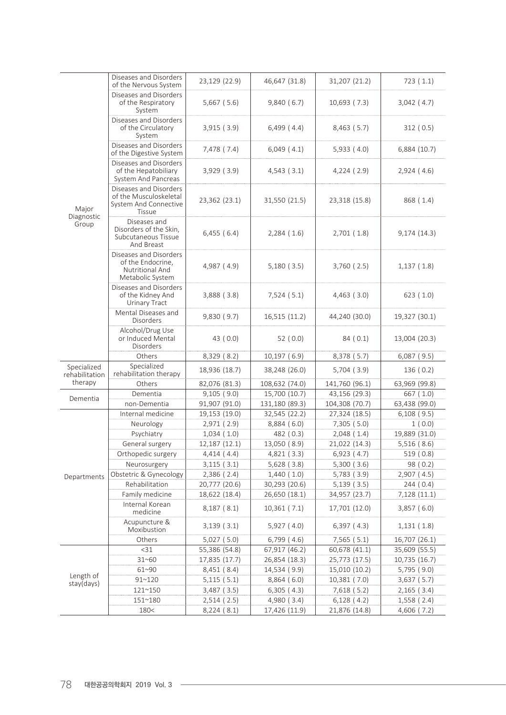| Major<br>Diagnostic<br>Group  | Diseases and Disorders<br>of the Nervous System                                            | 23,129 (22.9)   | 46,647 (31.8)   | 31,207 (21.2)   | 723(1.1)      |
|-------------------------------|--------------------------------------------------------------------------------------------|-----------------|-----------------|-----------------|---------------|
|                               | Diseases and Disorders<br>of the Respiratory<br>System                                     | $5,667$ (5.6)   | 9,840(6.7)      | 10,693 (7.3)    | $3,042$ (4.7) |
|                               | Diseases and Disorders<br>of the Circulatory<br>System                                     | 3,915(3.9)      | $6,499$ (4.4)   | $8,463$ (5.7)   | 312(0.5)      |
|                               | Diseases and Disorders<br>of the Digestive System                                          | 7,478 (7.4)     | $6,049$ $(4.1)$ | 5,933(4.0)      | 6,884 (10.7)  |
|                               | Diseases and Disorders<br>of the Hepatobiliary<br>System And Pancreas                      | 3,929(3.9)      | 4,543(3.1)      | 4,224(2.9)      | 2,924(4.6)    |
|                               | Diseases and Disorders<br>of the Musculoskeletal<br>System And Connective<br><b>Tissue</b> | 23,362 (23.1)   | 31,550 (21.5)   | 23,318 (15.8)   | 868 (1.4)     |
|                               | Diseases and<br>Disorders of the Skin,<br>Subcutaneous Tissue<br>And Breast                | $6,455$ (6.4)   | $2,284$ (1.6)   | 2,701(1.8)      | 9,174 (14.3)  |
|                               | Diseases and Disorders<br>of the Endocrine,<br>Nutritional And<br>Metabolic System         | 4,987 (4.9)     | 5,180(3.5)      | $3,760$ (2.5)   | 1,137(1.8)    |
|                               | Diseases and Disorders<br>of the Kidney And<br><b>Urinary Tract</b>                        | $3,888$ $(3.8)$ | 7,524(5.1)      | $4,463$ (3.0)   | 623(1.0)      |
|                               | Mental Diseases and<br>Disorders                                                           | 9,830(9.7)      | 16,515 (11.2)   | 44,240 (30.0)   | 19,327 (30.1) |
|                               | Alcohol/Drug Use<br>or Induced Mental<br><b>Disorders</b>                                  | 43 $(0.0)$      | 52 $(0.0)$      | 84(0.1)         | 13,004 (20.3) |
|                               | Others                                                                                     | 8,329 (8.2)     | 10,197(6.9)     | 8,378 (5.7)     | $6,087$ (9.5) |
| Specialized<br>rehabilitation | Specialized<br>rehabilitation therapy                                                      | 18,936 (18.7)   | 38,248 (26.0)   | $5,704$ (3.9)   | 136(0.2)      |
| therapy                       | Others                                                                                     | 82,076 (81.3)   | 108,632 (74.0)  | 141,760 (96.1)  | 63,969 (99.8) |
| Dementia                      | Dementia                                                                                   | 9,105(9.0)      | 15,700 (10.7)   | 43,156 (29.3)   | 667 (1.0)     |
|                               | non-Dementia                                                                               | 91,907 (91.0)   | 131,180 (89.3)  | 104,308 (70.7)  | 63,438 (99.0) |
|                               | Internal medicine                                                                          | 19,153 (19.0)   | 32,545 (22.2)   | 27,324 (18.5)   | $6,108$ (9.5) |
|                               | Neurology                                                                                  | 2,971 (2.9)     | 8,884 (6.0)     | 7,305 (5.0)     | 1(0.0)        |
|                               | Psychiatry                                                                                 | 1,034(1.0)      | 482 (0.3)       | 2,048(1.4)      | 19,889 (31.0) |
|                               | General surgery                                                                            | 12,187 (12.1)   | 13,050 (8.9)    | 21,022 (14.3)   | 5,516(8.6)    |
|                               | Orthopedic surgery                                                                         | 4,414(4.4)      | 4,821 (3.3)     | 6,923 (4.7)     | 519(0.8)      |
|                               | Neurosurgery                                                                               | 3,115(3.1)      | $5,628$ (3.8)   | 5,300(3.6)      | 98 (0.2)      |
| Departments                   | Obstetric & Gynecology                                                                     | $2,386$ (2.4)   | 1,440(1.0)      | $5,783$ $(3.9)$ | 2,907(4.5)    |
|                               | Rehabilitation                                                                             | 20,777 (20.6)   | 30,293 (20.6)   | $5,139$ (3.5)   | 244 (0.4)     |
|                               | Family medicine                                                                            | 18,622 (18.4)   | 26,650 (18.1)   | 34,957 (23.7)   | 7,128 (11.1)  |
|                               | Internal Korean<br>medicine                                                                | 8,187(8.1)      | 10,361(7.1)     | 17,701 (12.0)   | 3,857(6.0)    |
|                               | Acupuncture &<br>Moxibustion                                                               | 3,139(3.1)      | 5,927(4.0)      | 6,397(4.3)      | 1,131(1.8)    |
|                               | Others                                                                                     | 5,027(5.0)      | $6,799$ $(4.6)$ | $7,565$ (5.1)   | 16,707 (26.1) |
| Length of<br>stay(days)       | <31                                                                                        | 55,386 (54.8)   | 67,917 (46.2)   | 60,678 (41.1)   | 35,609 (55.5) |
|                               | 31~60                                                                                      | 17,835 (17.7)   | 26,854 (18.3)   | 25,773 (17.5)   | 10,735 (16.7) |
|                               | 61~90                                                                                      | 8,451 (8.4)     | 14,534 (9.9)    | 15,010 (10.2)   | 5,795 (9.0)   |
|                               | $91^{\sim}120$                                                                             | 5,115(5.1)      | 8,864(6.0)      | 10,381 (7.0)    | 3,637(5.7)    |
|                               | 121~150                                                                                    | $3,487$ (3.5)   | 6,305(4.3)      | 7,618 (5.2)     | $2,165$ (3.4) |
|                               | 151~180                                                                                    | $2,514$ (2.5)   | 4,980 (3.4)     | 6,128(4.2)      | 1,558 (2.4)   |
|                               | 180<                                                                                       | 8,224 (8.1)     | 17,426 (11.9)   | 21,876 (14.8)   | 4,606 (7.2)   |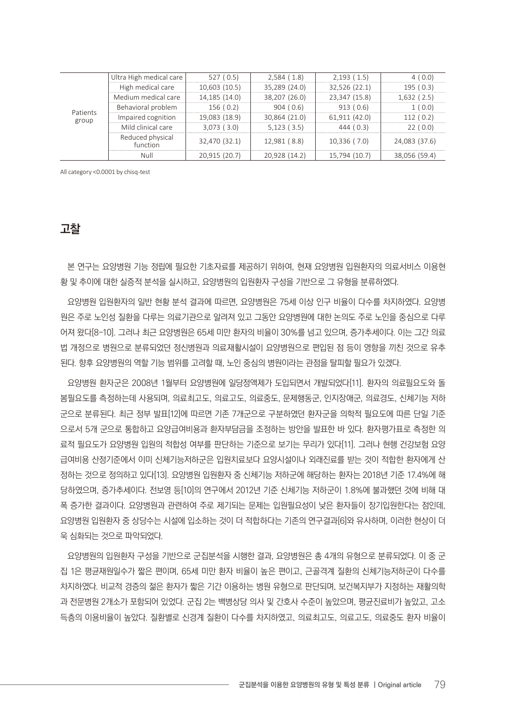| Patients<br>group | Ultra High medical care      | 527(0.5)          | 2,584(1.8)    | 2,193(1.5)    | 4(0.0)        |
|-------------------|------------------------------|-------------------|---------------|---------------|---------------|
|                   | High medical care            | 10,603 (10.5)     | 35,289 (24.0) | 32,526 (22.1) | 195(0.3)      |
|                   | Medium medical care          | 14,185 (14.0)     | 38,207 (26.0) | 23,347 (15.8) | 1,632(2.5)    |
|                   | Behavioral problem           | 156(0.2)          | 904(0.6)      | 913(0.6)      | 1(0.0)        |
|                   | Impaired cognition           | 19,083 (18.9)     | 30,864 (21.0) | 61,911 (42.0) | 112(0.2)      |
|                   | Mild clinical care           | $3,073$ ( $3.0$ ) | $5,123$ (3.5) | 444(0.3)      | 22(0.0)       |
|                   | Reduced physical<br>function | 32,470 (32.1)     | 12,981 (8.8)  | 10,336(7.0)   | 24,083 (37.6) |
|                   | Null                         | 20,915 (20.7)     | 20,928 (14.2) | 15,794 (10.7) | 38,056 (59.4) |

All category <0.0001 by chisq-test

# **고찰**

본 연구는 요양병원 기능 정립에 필요한 기초자료를 제공하기 위하여, 현재 요양병원 입원환자의 의료서비스 이용현 황 및 추이에 대한 실증적 분석을 실시하고, 요양병원의 입원환자 구성을 기반으로 그 유형을 분류하였다.

요양병원 입원환자의 일반 현황 분석 결과에 따르면, 요양병원은 75세 이상 인구 비율이 다수를 차지하였다. 요양병 원은 주로 노인성 질환을 다루는 의료기관으로 알려져 있고 그동안 요양병원에 대한 논의도 주로 노인을 중심으로 다루 어져 왔다[8-10]. 그러나 최근 요양병원은 65세 미만 환자의 비율이 30%를 넘고 있으며, 증가추세이다. 이는 그간 의료 법 개정으로 병원으로 분류되었던 정신병원과 의료재활시설이 요양병원으로 편입된 점 등이 영향을 끼친 것으로 유추 된다. 향후 요양병원의 역할 기능 범위를 고려할 때, 노인 중심의 병원이라는 관점을 탈피할 필요가 있겠다.

요양병원 환자군은 2008년 1월부터 요양병원에 일당정액제가 도입되면서 개발되었다[11]. 환자의 의료필요도와 돌 봄필요도를 측정하는데 사용되며, 의료최고도, 의료고도, 의료중도, 문제행동군, 인지장애군, 의료경도, 신체기능 저하 군으로 분류된다. 최근 정부 발표[12]에 따르면 기존 7개군으로 구분하였던 환자군을 의학적 필요도에 따른 단일 기준 으로서 5개 군으로 통합하고 요양급여비용과 환자부담금을 조정하는 방안을 발표한 바 있다. 환자평가표로 측정한 의 료적 필요도가 요양병원 입원의 적합성 여부를 판단하는 기준으로 보기는 무리가 있다[11]. 그러나 현행 건강보험 요양 급여비용 산정기준에서 이미 신체기능저하군은 입원치료보다 요양시설이나 외래진료를 받는 것이 적합한 환자에게 산 정하는 것으로 정의하고 있다[13]. 요양병원 입원환자 중 신체기능 저하군에 해당하는 환자는 2018년 기준 17.4%에 해 당하였으며, 증가추세이다. 전보영 등[10]의 연구에서 2012년 기준 신체기능 저하군이 1.8%에 불과했던 것에 비해 대 폭 증가한 결과이다. 요양병원과 관련하여 주로 제기되는 문제는 입원필요성이 낮은 환자들이 장기입원한다는 점인데, 요양병원 입원환자 중 상당수는 시설에 입소하는 것이 더 적합하다는 기존의 연구결과[6]와 유사하며, 이러한 현상이 더 욱 심화되는 것으로 파악되었다.

요양병원의 입원환자 구성을 기반으로 군집분석을 시행한 결과, 요양병원은 총 4개의 유형으로 분류되었다. 이 중 군 집 1은 평균재원일수가 짧은 편이며, 65세 미만 환자 비율이 높은 편이고, 근골격계 질환의 신체기능저하군이 다수를 차지하였다. 비교적 경증의 젊은 환자가 짧은 기간 이용하는 병원 유형으로 판단되며, 보건복지부가 지정하는 재활의학 과 전문병원 2개소가 포함되어 있었다. 군집 2는 백병상당 의사 및 간호사 수준이 높았으며, 평균진료비가 높았고, 고소 득층의 이용비율이 높았다. 질환별로 신경계 질환이 다수를 차지하였고, 의료최고도, 의료고도, 의료중도 환자 비율이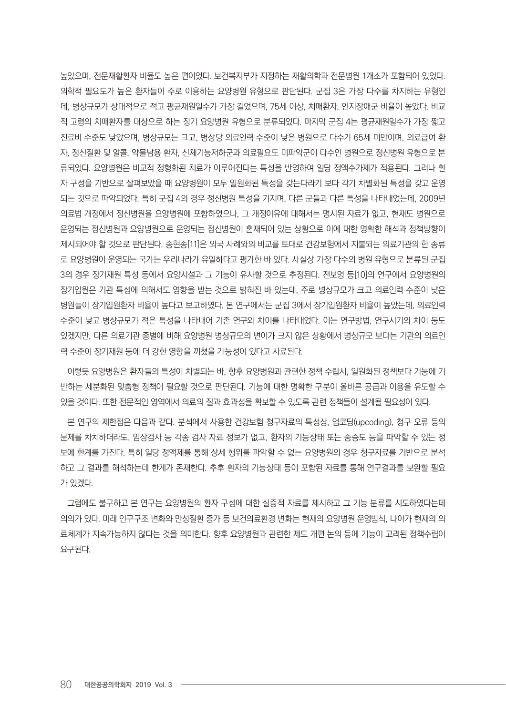높았으며, 전문재활환자 비율도 높은 편이었다. 보건복지부가 지정하는 재활의학과 전문병원 1개소가 포함되어 있었다. 의학적 필요도가 높은 환자들이 주로 이용하는 요양병원 유형으로 판단된다. 군집 3은 가장 다수를 차지하는 유형인 데, 병상규모가 상대적으로 적고 평균재원일수가 가장 길었으며, 75세 이상, 치매환자, 인지장애군 비율이 높았다. 비교 적 고령의 치매환자를 대상으로 하는 장기 요양병원 유형으로 분류되었다. 마지막 군집 4는 평균재원일수가 가장 짧고 진료비 수준도 낮았으며, 병상규모는 크고, 병상당 의료인력 수준이 낮은 병원으로 다수가 65세 미만이며, 의료급여 환 자, 정신질환 및 알콜, 약물남용 환자, 신체기능저하군과 의료필요도 미파악군이 다수인 병원으로 정신병원 유형으로 분 류되었다. 요양병원은 비교적 정형화된 치료가 이루어진다는 특성을 반영하여 일당 정액수가제가 적용된다. 그러나 환 자 구성을 기반으로 살펴보았을 때 요양병원이 모두 일원화된 특성을 갖는다라기 보다 각기 차별화된 특성을 갖고 운영 되는 것으로 파악되었다. 특히 군집 4의 경우 정신병원 특성을 가지며, 다른 군들과 다른 특성을 나타내었는데, 2009년 의료법 개정에서 정신병원을 요양병원에 포함하였으나, 그 개정이유에 대해서는 명시된 자료가 없고, 현재도 병원으로 운영되는 정신병원과 요양병원으로 운영되는 정신병원이 혼재되어 있는 상황으로 이에 대한 명확한 해석과 정책방향이 제시되어야 할 것으로 판단된다. 송현종[11]은 외국 사례와의 비교를 토대로 건강보험에서 지불되는 의료기관의 한 종류 로 요양병원이 운영되는 국가는 우리나라가 유일하다고 평가한 바 있다. 사실상 가장 다수의 병원 유형으로 분류된 군집 3의 경우 장기재원 특성 등에서 요양시설과 그 기능이 유사할 것으로 추정된다. 전보영 등[10]의 연구에서 요양병원의 장기입원은 기관 특성에 의해서도 영향을 받는 것으로 밝혀진 바 있는데, 주로 병상규모가 크고 의료인력 수준이 낮은 병원들이 장기입원환자 비율이 높다고 보고하였다. 본 연구에서는 군집 3에서 장기입원환자 비율이 높았는데, 의료인력 수준이 낮고 병상규모가 적은 특성을 나타내어 기존 연구와 차이를 나타내었다. 이는 연구방법, 연구시기의 차이 등도 있겠지만, 다른 의료기관 종별에 비해 요양병원 병상규모의 변이가 크지 않은 상황에서 병상규모 보다는 기관의 의료인 력 수준이 장기재원 등에 더 강한 영향을 끼쳤을 가능성이 있다고 사료된다.

이렇듯 요양병원은 환자들의 특성이 차별되는 바, 향후 요양병원과 관련한 정책 수립시, 일원화된 정책보다 기능에 기 반하는 세분화된 맞춤형 정책이 필요할 것으로 판단된다. 기능에 대한 명확한 구분이 올바른 공급과 이용을 유도할 수 있을 것이다. 또한 전문적인 영역에서 의료의 질과 효과성을 확보할 수 있도록 관련 정책들이 설계될 필요성이 있다.

본 연구의 제한점은 다음과 같다. 분석에서 사용한 건강보험 청구자료의 특성상, 업코딩(upcoding), 청구 오류 등의 문제를 차치하더라도, 임상검사 등 각종 검사 자료 정보가 없고, 환자의 기능상태 또는 중증도 등을 파악할 수 있는 정 보에 한계를 가진다. 특히 일당 정액제를 통해 상세 행위를 파악할 수 없는 요양병원의 경우 청구자료를 기반으로 분석 하고 그 결과를 해석하는데 한계가 존재한다. 추후 환자의 기능상태 등이 포함된 자료를 통해 연구결과를 보완할 필요 가 있겠다.

그럼에도 불구하고 본 연구는 요양병원의 환자 구성에 대한 실증적 자료를 제시하고 그 기능 분류를 시도하였다는데 의의가 있다. 미래 인구구조 변화와 만성질환 증가 등 보건의료환경 변화는 현재의 요양병원 운영방식, 나아가 현재의 의 료체계가 지속가능하지 않다는 것을 의미한다. 향후 요양병원과 관련한 제도 개편 논의 등에 기능이 고려된 정책수립이 요구된다.